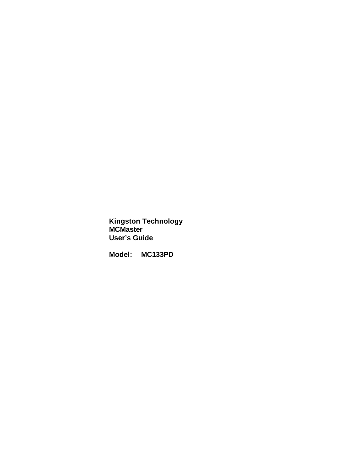**Kingston Technology MCMaster User's Guide**

**Model: MC133PD**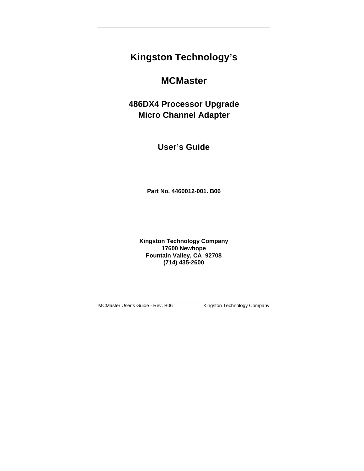# **Kingston Technology's**

# **MCMaster**

**486DX4 Processor Upgrade Micro Channel Adapter**

**User's Guide**

**Part No. 4460012-001. B06**

**Kingston Technology Company 17600 Newhope Fountain Valley, CA 92708 (714) 435-2600**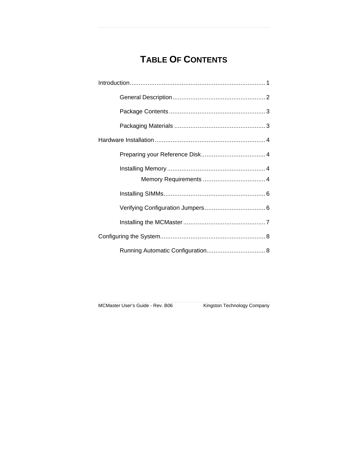# **TABLE OF CONTENTS**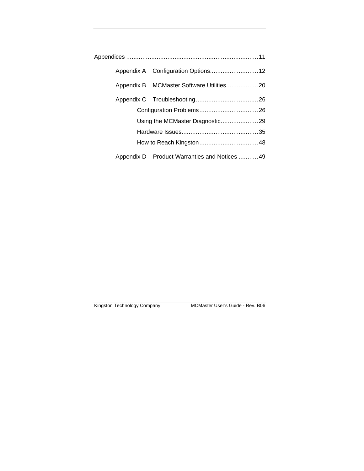|  | Using the MCMaster Diagnostic29              |  |
|--|----------------------------------------------|--|
|  |                                              |  |
|  |                                              |  |
|  | Appendix D Product Warranties and Notices 49 |  |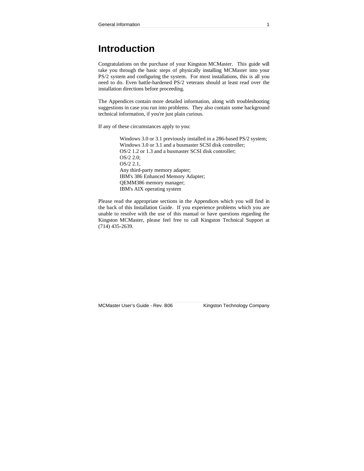## **Introduction**

Congratulations on the purchase of your Kingston MCMaster. This guide will take you through the basic steps of physically installing MCMaster into your PS/2 system and configuring the system. For most installations, this is all you need to do. Even battle-hardened PS/2 veterans should at least read over the installation directions before proceeding.

The Appendices contain more detailed information, along with troubleshooting suggestions in case you run into problems. They also contain some background technical information, if you're just plain curious.

If any of these circumstances apply to you:

Windows 3.0 or 3.1 previously installed in a 286-based PS/2 system; Windows 3.0 or 3.1 and a busmaster SCSI disk controller; OS/2 1.2 or 1.3 and a busmaster SCSI disk controller; OS/2 2.0; OS/2 2.1, Any third-party memory adapter; IBM's 386 Enhanced Memory Adapter; QEMM386 memory manager; IBM's AIX operating system

Please read the appropriate sections in the Appendices which you will find in the back of this Installation Guide. If you experience problems which you are unable to resolve with the use of this manual or have questions regarding the Kingston MCMaster, please feel free to call Kingston Technical Support at (714) 435-2639.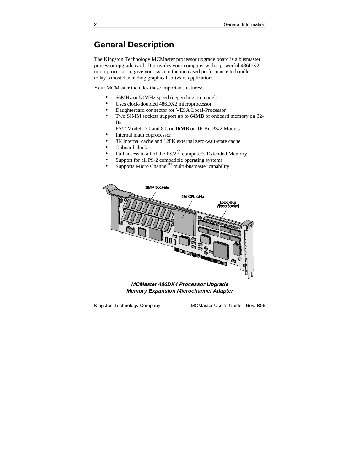## **General Description**

The Kingston Technology MCMaster processor upgrade board is a busmaster processor upgrade card. It provides your computer with a powerful 486DX2 microprocessor to give your system the increased performance to handle today's most demanding graphical software applications.

Your MCMaster includes these important features:

- 66MHz or 50MHz speed (depending on model)
- Uses clock-doubled 486DX2 microprocessor
- Daughtercard connector for VESA Local-Processor
- Two SIMM sockets support up to **64MB** of onboard memory on 32- Bit

PS/2 Models 70 and 80, or **16MB** on 16-Bit PS/2 Models

- Internal math coprocessor
- 8K internal cache and 128K external zero-wait-state cache
- Onboard clock
- Full access to all of the  $PS/2^{\circledR}$  computer's Extended Memory
- Support for all PS/2 compatible operating systems
- Supports Micro Channel<sup>®</sup> multi-busmaster capability



**Memory Expansion Microchannel Adapter**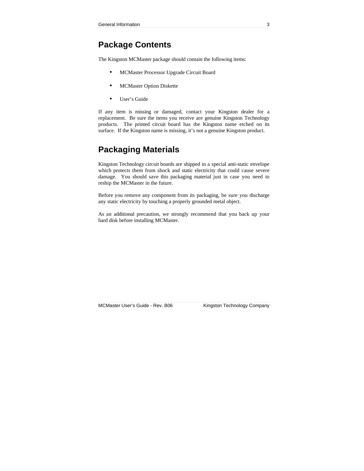## **Package Contents**

The Kingston MCMaster package should contain the following items:

- MCMaster Processor Upgrade Circuit Board
- MCMaster Option Diskette
- User's Guide

If any item is missing or damaged, contact your Kingston dealer for a replacement. Be sure the items you receive are genuine Kingston Technology products. The printed circuit board has the Kingston name etched on its surface. If the Kingston name is missing, it's not a genuine Kingston product.

## **Packaging Materials**

Kingston Technology circuit boards are shipped in a special anti-static envelope which protects them from shock and static electricity that could cause severe damage. You should save this packaging material just in case you need to reship the MCMaster in the future.

Before you remove any component from its packaging, be sure you discharge any static electricity by touching a properly grounded metal object.

As an additional precaution, we strongly recommend that you back up your hard disk before installing MCMaster.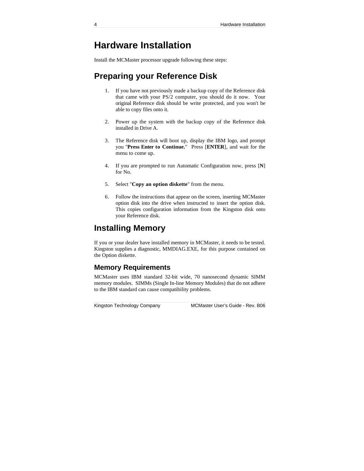## **Hardware Installation**

Install the MCMaster processor upgrade following these steps:

## **Preparing your Reference Disk**

- 1. If you have not previously made a backup copy of the Reference disk that came with your PS/2 computer, you should do it now. Your original Reference disk should be write protected, and you won't be able to copy files onto it.
- 2. Power up the system with the backup copy of the Reference disk installed in Drive A.
- 3. The Reference disk will boot up, display the IBM logo, and prompt you "**Press Enter to Continue.**" Press [**ENTER**], and wait for the menu to come up.
- 4. If you are prompted to run Automatic Configuration now, press [**N**] for No.
- 5. Select "**Copy an option diskette**" from the menu.
- 6. Follow the instructions that appear on the screen, inserting MCMaster option disk into the drive when instructed to insert the option disk. This copies configuration information from the Kingston disk onto your Reference disk.

## **Installing Memory**

If you or your dealer have installed memory in MCMaster, it needs to be tested. Kingston supplies a diagnostic, MMDIAG.EXE, for this purpose contained on the Option diskette.

## **Memory Requirements**

MCMaster uses IBM standard 32-bit wide, 70 nanosecond dynamic SIMM memory modules. SIMMs (Single In-line Memory Modules) that do not adhere to the IBM standard can cause compatibility problems.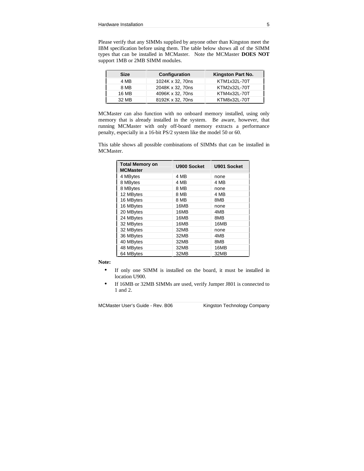Please verify that any SIMMs supplied by anyone other than Kingston meet the IBM specification before using them. The table below shows all of the SIMM types that can be installed in MCMaster. Note the MCMaster **DOES NOT** support 1MB or 2MB SIMM modules.

| <b>Size</b> | Configuration    | Kingston Part No. |
|-------------|------------------|-------------------|
| 4 MB        | 1024K x 32, 70ns | KTM1x32L-70T      |
| 8 MB        | 2048K x 32, 70ns | KTM2x32L-70T      |
| 16 MB       | 4096K x 32, 70ns | KTM4x32L-70T      |
| 32 MB       | 8192K x 32, 70ns | KTM8x32L-70T      |

MCMaster can also function with no onboard memory installed, using only memory that is already installed in the system. Be aware, however, that running MCMaster with only off-board memory extracts a performance penalty, especially in a 16-bit PS/2 system like the model 50 or 60.

This table shows all possible combinations of SIMMs that can be installed in MCMaster.

| <b>Total Memory on</b><br><b>MCMaster</b> | <b>U900 Socket</b> | U901 Socket |
|-------------------------------------------|--------------------|-------------|
| 4 MBytes                                  | 4 MB               | none        |
| 8 MBytes                                  | 4 MB               | 4 MB        |
| 8 MBytes                                  | 8 MB               | none        |
| 12 MBytes                                 | 8 MB               | 4 MB        |
| 16 MBytes                                 | 8 MB               | 8MB         |
| 16 MBytes                                 | 16MB               | none        |
| 20 MBytes                                 | 16MB               | 4MB         |
| 24 MBytes                                 | 16MB               | 8MB         |
| 32 MBytes                                 | 16MB               | 16MB        |
| 32 MBytes                                 | 32MB               | none        |
| 36 MBytes                                 | 32MB               | 4MB         |
| 40 MBytes                                 | 32MB               | 8MB         |
| 48 MBytes                                 | 32MB               | 16MB        |
| 64 MBytes                                 | 32MB               | 32MB        |

**Note:**

- If only one SIMM is installed on the board, it must be installed in location U900.
- If 16MB or 32MB SIMMs are used, verify Jumper J801 is connected to 1 and 2.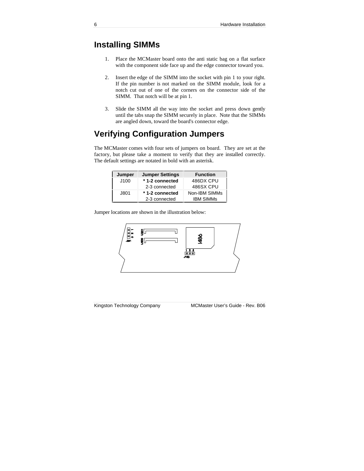## **Installing SIMMs**

- 1. Place the MCMaster board onto the anti static bag on a flat surface with the component side face up and the edge connector toward you.
- 2. Insert the edge of the SIMM into the socket with pin 1 to your right. If the pin number is not marked on the SIMM module, look for a notch cut out of one of the corners on the connector side of the SIMM. That notch will be at pin 1.
- 3. Slide the SIMM all the way into the socket and press down gently until the tabs snap the SIMM securely in place. Note that the SIMMs are angled down, toward the board's connector edge.

## **Verifying Configuration Jumpers**

The MCMaster comes with four sets of jumpers on board. They are set at the factory, but please take a moment to verify that they are installed correctly. The default settings are notated in bold with an asterisk.

| Jumper | <b>Jumper Settings</b> | <b>Function</b>  |
|--------|------------------------|------------------|
| J100   | *1-2 connected         | 486DX CPU        |
|        | 2-3 connected          | 486SX CPU        |
| J801   | *1-2 connected         | Non-IBM SIMMs    |
|        | 2-3 connected          | <b>IBM SIMMS</b> |

Jumper locations are shown in the illustration below:

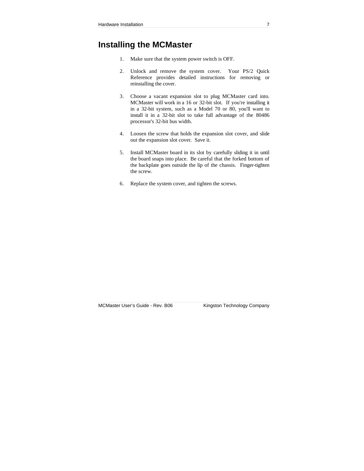## **Installing the MCMaster**

- 1. Make sure that the system power switch is OFF.
- 2. Unlock and remove the system cover. Your PS/2 Quick Reference provides detailed instructions for removing or reinstalling the cover.
- 3. Choose a vacant expansion slot to plug MCMaster card into. MCMaster will work in a 16 or 32-bit slot. If you're installing it in a 32-bit system, such as a Model 70 or 80, you'll want to install it in a 32-bit slot to take full advantage of the 80486 processor's 32-bit bus width.
- 4. Loosen the screw that holds the expansion slot cover, and slide out the expansion slot cover. Save it.
- 5. Install MCMaster board in its slot by carefully sliding it in until the board snaps into place. Be careful that the forked bottom of the backplate goes outside the lip of the chassis. Finger-tighten the screw.
- 6. Replace the system cover, and tighten the screws.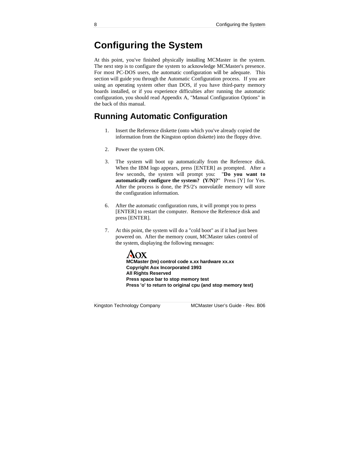# **Configuring the System**

At this point, you've finished physically installing MCMaster in the system. The next step is to configure the system to acknowledge MCMaster's presence. For most PC-DOS users, the automatic configuration will be adequate. This section will guide you through the Automatic Configuration process. If you are using an operating system other than DOS, if you have third-party memory boards installed, or if you experience difficulties after running the automatic configuration, you should read Appendix A, "Manual Configuration Options" in the back of this manual.

## **Running Automatic Configuration**

- 1. Insert the Reference diskette (onto which you've already copied the information from the Kingston option diskette) into the floppy drive.
- 2. Power the system ON.
- 3. The system will boot up automatically from the Reference disk. When the IBM logo appears, press [ENTER] as prompted. After a few seconds, the system will prompt you: "**Do you want to automatically configure the system? (Y/N)?**" Press [Y] for Yes. After the process is done, the PS/2's nonvolatile memory will store the configuration information.
- 6. After the automatic configuration runs, it will prompt you to press [ENTER] to restart the computer. Remove the Reference disk and press [ENTER].
- 7. At this point, the system will do a "cold boot" as if it had just been powered on. After the memory count, MCMaster takes control of the system, displaying the following messages:



**MCMaster (tm) control code x.xx hardware xx.xx Copyright Aox Incorporated 1993 All Rights Reserved Press space bar to stop memory test Press 'o' to return to original cpu (and stop memory test)**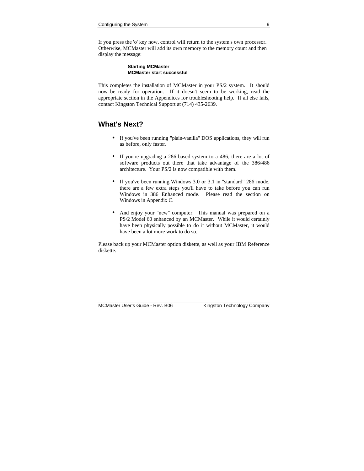If you press the 'o' key now, control will return to the system's own processor. Otherwise, MCMaster will add its own memory to the memory count and then display the message:

#### **Starting MCMaster MCMaster start successful**

This completes the installation of MCMaster in your PS/2 system. It should now be ready for operation. If it doesn't seem to be working, read the appropriate section in the Appendices for troubleshooting help. If all else fails, contact Kingston Technical Support at (714) 435-2639.

## **What's Next?**

- If you've been running "plain-vanilla" DOS applications, they will run as before, only faster.
- If you're upgrading a 286-based system to a 486, there are a lot of software products out there that take advantage of the 386/486 architecture. Your PS/2 is now compatible with them.
- If you've been running Windows 3.0 or 3.1 in "standard" 286 mode, there are a few extra steps you'll have to take before you can run Windows in 386 Enhanced mode. Please read the section on Windows in Appendix C.
- And enjoy your "new" computer. This manual was prepared on a PS/2 Model 60 enhanced by an MCMaster. While it would certainly have been physically possible to do it without MCMaster, it would have been a lot more work to do so.

Please back up your MCMaster option diskette, as well as your IBM Reference diskette.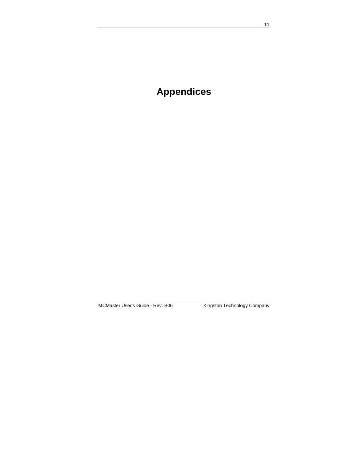# **Appendices**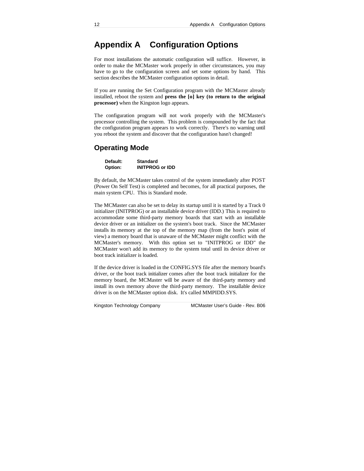## **Appendix A Configuration Options**

For most installations the automatic configuration will suffice. However, in order to make the MCMaster work properly in other circumstances, you may have to go to the configuration screen and set some options by hand. This section describes the MCMaster configuration options in detail.

If you are running the Set Configuration program with the MCMaster already installed, reboot the system and **press the [o] key (to return to the original processor)** when the Kingston logo appears.

The configuration program will not work properly with the MCMaster's processor controlling the system. This problem is compounded by the fact that the configuration program appears to work correctly. There's no warning until you reboot the system and discover that the configuration hasn't changed!

### **Operating Mode**

| Default: | <b>Standard</b>        |
|----------|------------------------|
| Option:  | <b>INITPROG or IDD</b> |

By default, the MCMaster takes control of the system immediately after POST (Power On Self Test) is completed and becomes, for all practical purposes, the main system CPU. This is Standard mode.

The MCMaster can also be set to delay its startup until it is started by a Track 0 initializer (INITPROG) or an installable device driver (IDD.) This is required to accommodate some third-party memory boards that start with an installable device driver or an initializer on the system's boot track. Since the MCMaster installs its memory at the top of the memory map (from the host's point of view) a memory board that is unaware of the MCMaster might conflict with the MCMaster's memory. With this option set to "INITPROG or IDD" the MCMaster won't add its memory to the system total until its device driver or boot track initializer is loaded.

If the device driver is loaded in the CONFIG.SYS file after the memory board's driver, or the boot track initializer comes after the boot track initializer for the memory board, the MCMaster will be aware of the third-party memory and install its own memory above the third-party memory. The installable device driver is on the MCMaster option disk. It's called MMPIDD.SYS.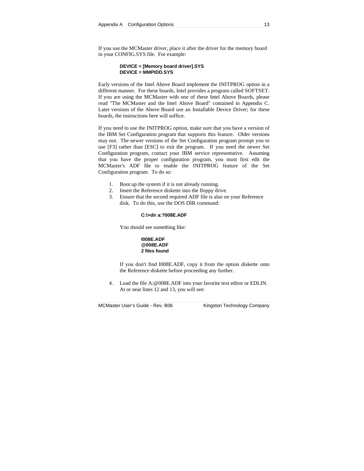If you use the MCMaster driver, place it after the driver for the memory board in your CONFIG.SYS file. For example:

#### **DEVICE = [Memory board driver].SYS DEVICE = MMPIDD.SYS**

Early versions of the Intel Above Board implement the INITPROG option in a different manner. For these boards, Intel provides a program called SOFTSET. If you are using the MCMaster with one of these Intel Above Boards, please read "The MCMaster and the Intel Above Board" contained in Appendix C. Later versions of the Above Board use an Installable Device Driver; for these boards, the instructions here will suffice.

If you need to use the INITPROG option, make sure that you have a version of the IBM Set Configuration program that supports this feature. Older versions may not. The newer versions of the Set Configuration program prompt you to use [F3] rather than [ESC] to exit the program. If you need the newer Set Configuration program, contact your IBM service representative. Assuming that you have the proper configuration program, you must first edit the MCMaster's ADF file to enable the INITPROG feature of the Set Configuration program. To do so:

- 1. Boot up the system if it is not already running.
- 2. Insert the Reference diskette into the floppy drive.
- 3. Ensure that the second required ADF file is also on your Reference disk. To do this, use the DOS DIR command:

#### **C:\>dir a:?008E.ADF**

You should see something like:



If you don't find I008E.ADF, copy it from the option diskette onto the Reference diskette before proceeding any further.

4. Load the file A:@008E.ADF into your favorite text editor or EDLIN. At or near lines 12 and 13, you will see: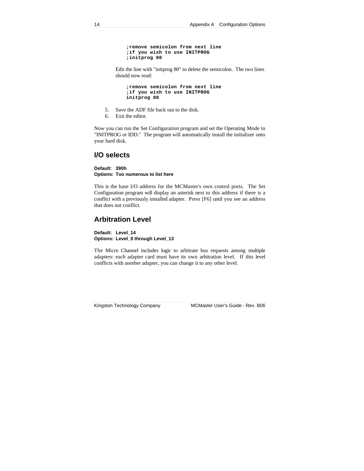```
;remove semicolon from next line
;if you wish to use INITPROG
;initprog 80
```
Edit the line with "initprog 80" to delete the semicolon. The two lines should now read:

**;remove semicolon from next line ;if you wish to use INITPROG initprog 80**

- 5. Save the ADF file back out to the disk.
- 6. Exit the editor.

Now you can run the Set Configuration program and set the Operating Mode to "INITPROG or IDD." The program will automatically install the initializer onto your hard disk.

### **I/O selects**

**Default: 390h Options: Too numerous to list here**

This is the base I/O address for the MCMaster's own control ports. The Set Configuration program will display an asterisk next to this address if there is a conflict with a previously installed adapter. Press [F6] until you see an address that does not conflict.

## **Arbitration Level**

**Default: Level\_14 Options: Level\_0 through Level\_13**

The Micro Channel includes logic to arbitrate bus requests among multiple adapters: each adapter card must have its own arbitration level. If this level conflicts with another adapter, you can change it to any other level.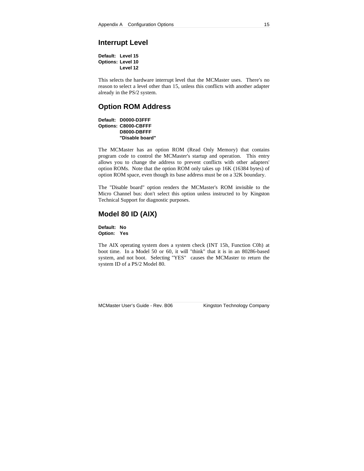## **Interrupt Level**

| Default: Level 15        |          |  |
|--------------------------|----------|--|
| <b>Options: Level 10</b> |          |  |
|                          | Level 12 |  |

This selects the hardware interrupt level that the MCMaster uses. There's no reason to select a level other than 15, unless this conflicts with another adapter already in the PS/2 system.

### **Option ROM Address**

**Default: D0000-D3FFF Options: C8000-CBFFF D8000-DBFFF "Disable board"**

The MCMaster has an option ROM (Read Only Memory) that contains program code to control the MCMaster's startup and operation. This entry allows you to change the address to prevent conflicts with other adapters' option ROMs. Note that the option ROM only takes up 16K (16384 bytes) of option ROM space, even though its base address must be on a 32K boundary.

The "Disable board" option renders the MCMaster's ROM invisible to the Micro Channel bus: don't select this option unless instructed to by Kingston Technical Support for diagnostic purposes.

## **Model 80 ID (AIX)**

**Default: No Option: Yes**

The AIX operating system does a system check (INT 15h, Function C0h) at boot time. In a Model 50 or 60, it will "think" that it is in an 80286-based system, and not boot. Selecting "YES" causes the MCMaster to return the system ID of a PS/2 Model 80.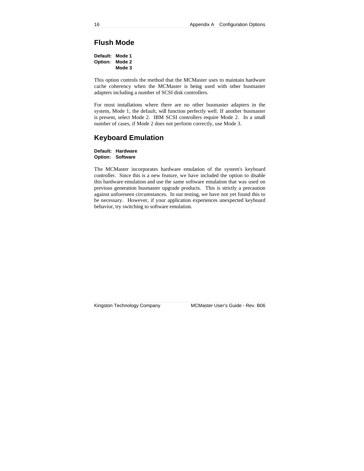## **Flush Mode**

**Default: Mode 1 Option: Mode 2 Mode 3**

This option controls the method that the MCMaster uses to maintain hardware cache coherency when the MCMaster is being used with other busmaster adapters including a number of SCSI disk controllers.

For most installations where there are no other busmaster adapters in the system, Mode 1, the default, will function perfectly well. If another busmaster is present, select Mode 2. IBM SCSI controllers require Mode 2. In a small number of cases, if Mode 2 does not perform correctly, use Mode 3.

### **Keyboard Emulation**

**Default: Hardware Option: Software**

The MCMaster incorporates hardware emulation of the system's keyboard controller. Since this is a new feature, we have included the option to disable this hardware emulation and use the same software emulation that was used on previous generation busmaster upgrade products. This is strictly a precaution against unforeseen circumstances. In our testing, we have not yet found this to be necessary. However, if your application experiences unexpected keyboard behavior, try switching to software emulation.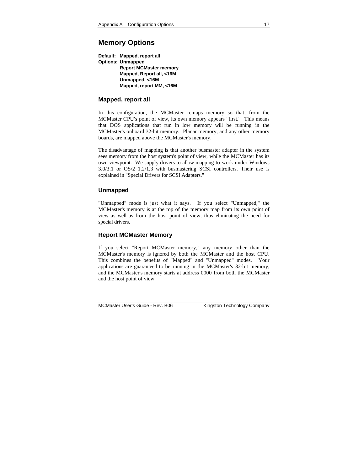## **Memory Options**

**Default: Mapped, report all Options: Unmapped Report MCMaster memory Mapped, Report all, <16M Unmapped, <16M Mapped, report MM, <16M**

#### **Mapped, report all**

In this configuration, the MCMaster remaps memory so that, from the MCMaster CPU's point of view, its own memory appears "first." This means that DOS applications that run in low memory will be running in the MCMaster's onboard 32-bit memory. Planar memory, and any other memory boards, are mapped above the MCMaster's memory.

The disadvantage of mapping is that another busmaster adapter in the system sees memory from the host system's point of view, while the MCMaster has its own viewpoint. We supply drivers to allow mapping to work under Windows 3.0/3.1 or OS/2 1.2/1.3 with busmastering SCSI controllers. Their use is explained in "Special Drivers for SCSI Adapters."

#### **Unmapped**

"Unmapped" mode is just what it says. If you select "Unmapped," the MCMaster's memory is at the top of the memory map from its own point of view as well as from the host point of view, thus eliminating the need for special drivers.

#### **Report MCMaster Memory**

If you select "Report MCMaster memory," any memory other than the MCMaster's memory is ignored by both the MCMaster and the host CPU. This combines the benefits of "Mapped" and "Unmapped" modes. Your applications are guaranteed to be running in the MCMaster's 32-bit memory, and the MCMaster's memory starts at address 0000 from both the MCMaster and the host point of view.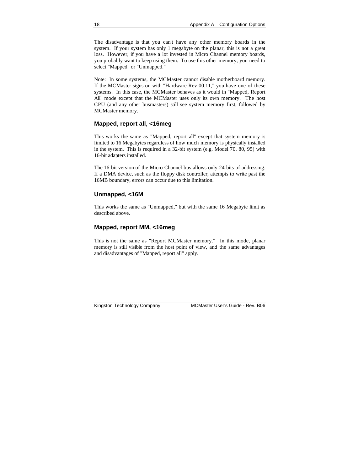The disadvantage is that you can't have any other memory boards in the system. If your system has only 1 megabyte on the planar, this is not a great loss. However, if you have a lot invested in Micro Channel memory boards, you probably want to keep using them. To use this other memory, you need to select "Mapped" or "Unmapped."

Note: In some systems, the MCMaster cannot disable motherboard memory. If the MCMaster signs on with "Hardware Rev 00.11," you have one of these systems. In this case, the MCMaster behaves as it would in "Mapped, Report All" mode except that the MCMaster uses only its own memory. The host CPU (and any other busmasters) still see system memory first, followed by MCMaster memory.

#### **Mapped, report all, <16meg**

This works the same as "Mapped, report all" except that system memory is limited to 16 Megabytes regardless of how much memory is physically installed in the system. This is required in a 32-bit system (e.g. Model 70, 80, 95) with 16-bit adapters installed.

The 16-bit version of the Micro Channel bus allows only 24 bits of addressing. If a DMA device, such as the floppy disk controller, attempts to write past the 16MB boundary, errors can occur due to this limitation.

#### **Unmapped, <16M**

This works the same as "Unmapped," but with the same 16 Megabyte limit as described above.

#### **Mapped, report MM, <16meg**

This is not the same as "Report MCMaster memory." In this mode, planar memory is still visible from the host point of view, and the same advantages and disadvantages of "Mapped, report all" apply.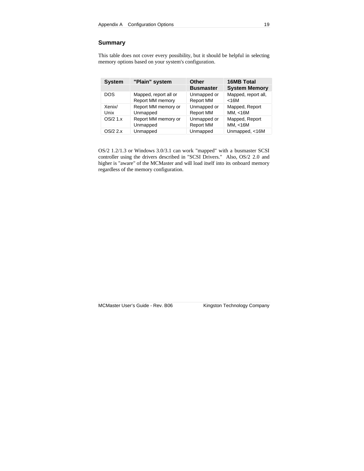### **Summary**

This table does not cover every possibility, but it should be helpful in selecting memory options based on your system's configuration.

| <b>System</b> | "Plain" system          | Other            | <b>16MB Total</b>    |
|---------------|-------------------------|------------------|----------------------|
|               |                         | <b>Busmaster</b> | <b>System Memory</b> |
| <b>DOS</b>    | Mapped, report all or   | Unmapped or      | Mapped, report all,  |
|               | <b>Report MM memory</b> | <b>Report MM</b> | $<$ 16M              |
| Xenix/        | Report MM memory or     | Unmapped or      | Mapped, Report       |
| Unix          | Unmapped                | <b>Report MM</b> | MM. < 16M            |
| OS/2 1.x      | Report MM memory or     | Unmapped or      | Mapped, Report       |
|               | Unmapped                | <b>Report MM</b> | MM, <16M             |
| OS/2.2.x      | Unmapped                | Unmapped         | Unmapped, <16M       |

OS/2 1.2/1.3 or Windows 3.0/3.1 can work "mapped" with a busmaster SCSI controller using the drivers described in "SCSI Drivers." Also, OS/2 2.0 and higher is "aware" of the MCMaster and will load itself into its onboard memory regardless of the memory configuration.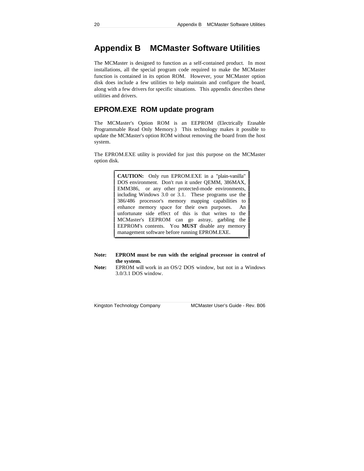## **Appendix B MCMaster Software Utilities**

The MCMaster is designed to function as a self-contained product. In most installations, all the special program code required to make the MCMaster function is contained in its option ROM. However, your MCMaster option disk does include a few utilities to help maintain and configure the board, along with a few drivers for specific situations. This appendix describes these utilities and drivers.

## **EPROM.EXE ROM update program**

The MCMaster's Option ROM is an EEPROM (Electrically Erasable Programmable Read Only Memory.) This technology makes it possible to update the MCMaster's option ROM without removing the board from the host system.

The EPROM.EXE utility is provided for just this purpose on the MCMaster option disk.

> **CAUTION:** Only run EPROM.EXE in a "plain-vanilla" DOS environment. Don't run it under QEMM, 386MAX, EMM386, or any other protected-mode environments, including Windows 3.0 or 3.1. These programs use the 386/486 processor's memory mapping capabilities to enhance memory space for their own purposes. An unfortunate side effect of this is that writes to the MCMaster's EEPROM can go astray, garbling the EEPROM's contents. You **MUST** disable any memory management software before running EPROM.EXE.

#### **Note: EPROM must be run with the original processor in control of the system.**

**Note:** EPROM will work in an OS/2 DOS window, but not in a Windows 3.0/3.1 DOS window.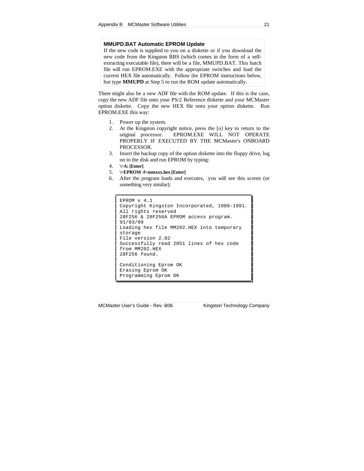#### **MMUPD.BAT Automatic EPROM Update**

If the new code is supplied to you on a diskette or if you download the new code from the Kingston BBS (which comes in the form of a selfextracting executable file), there will be a file, MMUPD.BAT. This batch file will run EPROM.EXE with the appropriate switches and load the current HEX file automatically. Follow the EPROM instructions below, but type **MMUPD** at Step 5 to run the ROM update automatically.

There might also be a new ADF file with the ROM update. If this is the case, copy the new ADF file onto your PS/2 Reference diskette and your MCMaster option diskette. Copy the new HEX file onto your option diskette. Run EPROM.EXE this way:

- 1. Power up the system.
- 2. At the Kingston copyright notice, press the [o] key to return to the original processor. EPROM.EXE WILL NOT OPERATE PROPERLY IF EXECUTED BY THE MCMaster's ONBOARD PROCESSOR.
- 3. Insert the backup copy of the option diskette into the floppy drive, log on to the disk and run EPROM by typing:
- 4. **\>A: [Enter]**
- 5. **\>EPROM -f=mmxxx.hex [Enter]**
- 6. After the program loads and executes, you will see this screen (or something very similar):

```
EPROM v 4.1
Copyright Kingston Incorporated, 1989-1991.
All rights reserved
28F256 & 28F256A EPROM access program.
91/03/09
Loading hex file MM202.HEX into temporary
storage
File version 2.02
Successfully read 2051 lines of hex code
from MM202.HEX
28F256 found.
Conditioning Eprom OK
Erasing Eprom OK
Programming Eprom OK
```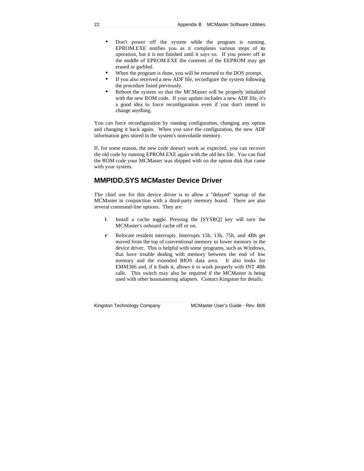- Don't power off the system while the program is running. EPROM.EXE notifies you as it completes various steps of its operation, but it is not finished until it says so. If you power off in the middle of EPROM.EXE the contents of the EEPROM may get erased or garbled.
- When the program is done, you will be returned to the DOS prompt.
- If you also received a new ADF file, reconfigure the system following the procedure listed previously.
- Reboot the system so that the MCMaster will be properly initialized with the new ROM code. If your update includes a new ADF file, it's a good idea to force reconfiguration even if you don't intend to change anything.

You can force reconfiguration by running configuration, changing any option and changing it back again. When you save the configuration, the new ADF information gets stored in the system's nonvolatile memory.

If, for some reason, the new code doesn't work as expected, you can recover the old code by running EPROM.EXE again with the old hex file. You can find the ROM code your MCMaster was shipped with on the option disk that came with your system.

## **MMPIDD.SYS MCMaster Device Driver**

The chief use for this device driver is to allow a "delayed" startup of the MCMaster in conjunction with a third-party memory board. There are also several command-line options. They are:

- **i** Install a cache toggle. Pressing the [SYSRQ] key will turn the MCMaster's onboard cache off or on.
- **r** Relocate resident interrupts. Interrupts 15h, 13h, 75h, and 4Bh get moved from the top of conventional memory to lower memory in the device driver. This is helpful with some programs, such as Windows, that have trouble dealing with memory between the end of low memory and the extended BIOS data area. It also looks for EMM386 and, if it finds it, allows it to work properly with INT 4Bh calls. This switch may also be required if the MCMaster is being used with other busmastering adapters. Contact Kingston for details.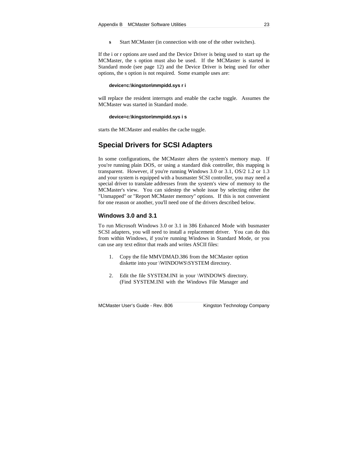**s** Start MCMaster (in connection with one of the other switches).

If the i or r options are used and the Device Driver is being used to start up the MCMaster, the s option must also be used. If the MCMaster is started in Standard mode (see page 12) and the Device Driver is being used for other options, the s option is not required. Some example uses are:

#### **device=c:\kingston\mmpidd.sys r i**

will replace the resident interrupts and enable the cache toggle. Assumes the MCMaster was started in Standard mode.

#### **device=c:\kingston\mmpidd.sys i s**

starts the MCMaster and enables the cache toggle.

## **Special Drivers for SCSI Adapters**

In some configurations, the MCMaster alters the system's memory map. If you're running plain DOS, or using a standard disk controller, this mapping is transparent. However, if you're running Windows 3.0 or 3.1, OS/2 1.2 or 1.3 and your system is equipped with a busmaster SCSI controller, you may need a special driver to translate addresses from the system's view of memory to the MCMaster's view. You can sidestep the whole issue by selecting either the "Unmapped" or "Report MCMaster memory" options. If this is not convenient for one reason or another, you'll need one of the drivers described below.

#### **Windows 3.0 and 3.1**

To run Microsoft Windows 3.0 or 3.1 in 386 Enhanced Mode with busmaster SCSI adapters, you will need to install a replacement driver. You can do this from within Windows, if you're running Windows in Standard Mode, or you can use any text editor that reads and writes ASCII files:

- 1. Copy the file MMVDMAD.386 from the MCMaster option diskette into your \WINDOWS\SYSTEM directory.
- 2. Edit the file SYSTEM.INI in your \WINDOWS directory. (Find SYSTEM.INI with the Windows File Manager and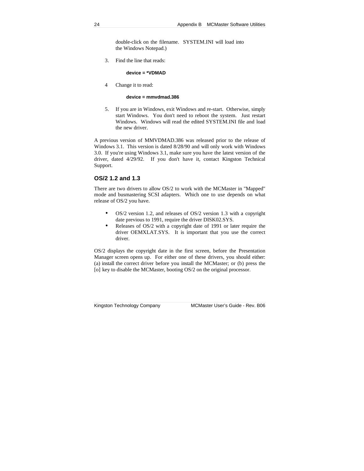double-click on the filename. SYSTEM.INI will load into the Windows Notepad.)

3. Find the line that reads:

**device = \*VDMAD**

4 Change it to read:

#### **device = mmvdmad.386**

5. If you are in Windows, exit Windows and re-start. Otherwise, simply start Windows. You don't need to reboot the system. Just restart Windows. Windows will read the edited SYSTEM.INI file and load the new driver.

A previous version of MMVDMAD.386 was released prior to the release of Windows 3.1. This version is dated 8/28/90 and will only work with Windows 3.0. If you're using Windows 3.1, make sure you have the latest version of the driver, dated 4/29/92. If you don't have it, contact Kingston Technical Support.

### **OS/2 1.2 and 1.3**

There are two drivers to allow OS/2 to work with the MCMaster in "Mapped" mode and busmastering SCSI adapters. Which one to use depends on what release of OS/2 you have.

- OS/2 version 1.2, and releases of OS/2 version 1.3 with a copyright date previous to 1991, require the driver DISK02.SYS.
- Releases of OS/2 with a copyright date of 1991 or later require the driver OEMXLAT.SYS. It is important that you use the correct driver.

OS/2 displays the copyright date in the first screen, before the Presentation Manager screen opens up. For either one of these drivers, you should either: (a) install the correct driver before you install the MCMaster; or (b) press the [o] key to disable the MCMaster, booting OS/2 on the original processor.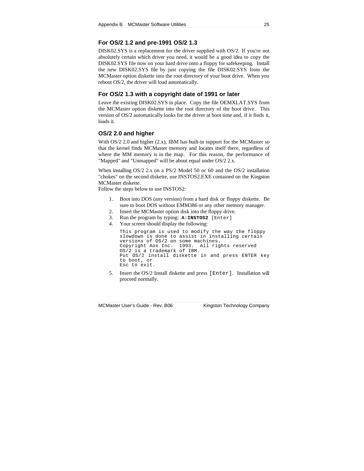### **For OS/2 1.2 and pre-1991 OS/2 1.3**

DISK02.SYS is a replacement for the driver supplied with OS/2. If you're not absolutely certain which driver you need, it would be a good idea to copy the DISK02.SYS file now on your hard drive onto a floppy for safekeeping. Install the new DISK02.SYS file by just copying the file DISK02.SYS from the MCMaster option diskette into the root directory of your boot drive. When you reboot OS/2, the driver will load automatically.

#### **For OS/2 1.3 with a copyright date of 1991 or later**

Leave the existing DISK02.SYS in place. Copy the file OEMXLAT.SYS from the MCMaster option diskette into the root directory of the boot drive. This version of OS/2 automatically looks for the driver at boot time and, if it finds it, loads it.

#### **OS/2 2.0 and higher**

With OS/2 2.0 and higher (2.x), IBM has built-in support for the MCMaster so that the kernel finds MCMaster memory and locates itself there, regardless of where the MM memory is in the map. For this reason, the performance of "Mapped" and "Unmapped" will be about equal under OS/2 2.x.

When installing OS/2 2.x on a PS/2 Model 50 or 60 and the OS/2 installation "chokes" on the second diskette, use INSTOS2.EXE contained on the Kingston MCMaster diskette.

Follow the steps below to use INSTOS2:

- 1. Boot into DOS (any version) from a hard disk or floppy diskette. Be sure to boot DOS without EMM386 or any other memory manager.
- 2. Insert the MCMaster option disk into the floppy drive.
- 3. Run the program by typing: **A:INSTOS2** [Enter]
- 4. Your screen should display the following:

This program is used to modify the way the floppy slowdown is done to assist in installing certain versions of OS/2 on some machines. Copyright Aox Inc. 1993. All rights reserved OS/2 is a trademark of IBM. Put OS/2 install diskette in and press ENTER key to boot, or Esc to exit.

5. Insert the OS/2 Install diskette and press [Enter]. Installation will proceed normally.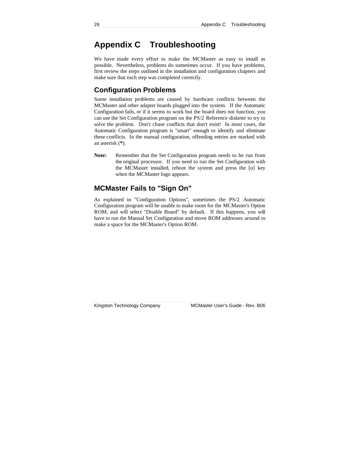## **Appendix C Troubleshooting**

We have made every effort to make the MCMaster as easy to install as possible. Nevertheless, problems do sometimes occur. If you have problems, first review the steps outlined in the installation and configuration chapters and make sure that each step was completed correctly.

## **Configuration Problems**

Some installation problems are caused by hardware conflicts between the MCMaster and other adapter boards plugged into the system. If the Automatic Configuration fails, or if it seems to work but the board does not function, you can use the Set Configuration program on the PS/2 Reference diskette to try to solve the problem. Don't chase conflicts that don't exist! In most cases, the Automatic Configuration program is "smart" enough to identify and eliminate these conflicts. In the manual configuration, offending entries are marked with an asterisk (**\***).

**Note:** Remember that the Set Configuration program needs to be run from the original processor. If you need to run the Set Configuration with the MCMaster installed, reboot the system and press the [o] key when the MCMaster logo appears.

## **MCMaster Fails to "Sign On"**

As explained in "Configuration Options", sometimes the PS/2 Automatic Configuration program will be unable to make room for the MCMaster's Option ROM, and will select "Disable Board" by default. If this happens, you will have to run the Manual Set Configuration and move ROM addresses around to make a space for the MCMaster's Option ROM.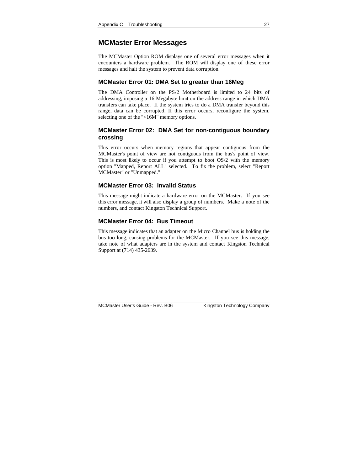### **MCMaster Error Messages**

The MCMaster Option ROM displays one of several error messages when it encounters a hardware problem. The ROM will display one of these error messages and halt the system to prevent data corruption.

#### **MCMaster Error 01: DMA Set to greater than 16Meg**

The DMA Controller on the PS/2 Motherboard is limited to 24 bits of addressing, imposing a 16 Megabyte limit on the address range in which DMA transfers can take place. If the system tries to do a DMA transfer beyond this range, data can be corrupted. If this error occurs, reconfigure the system, selecting one of the "<16M" memory options.

### **MCMaster Error 02: DMA Set for non-contiguous boundary crossing**

This error occurs when memory regions that appear contiguous from the MCMaster's point of view are not contiguous from the bus's point of view. This is most likely to occur if you attempt to boot OS/2 with the memory option "Mapped, Report ALL" selected. To fix the problem, select "Report MCMaster" or "Unmapped."

#### **MCMaster Error 03: Invalid Status**

This message might indicate a hardware error on the MCMaster. If you see this error message, it will also display a group of numbers. Make a note of the numbers, and contact Kingston Technical Support.

#### **MCMaster Error 04: Bus Timeout**

This message indicates that an adapter on the Micro Channel bus is holding the bus too long, causing problems for the MCMaster. If you see this message, take note of what adapters are in the system and contact Kingston Technical Support at (714) 435-2639.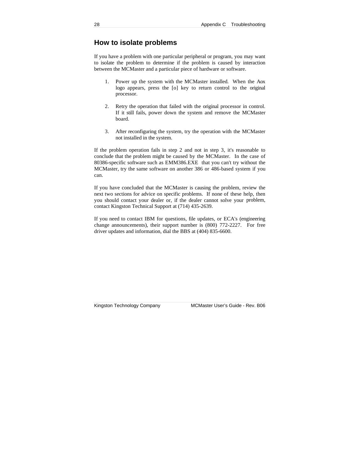## **How to isolate problems**

If you have a problem with one particular peripheral or program, you may want to isolate the problem to determine if the problem is caused by interaction between the MCMaster and a particular piece of hardware or software.

- 1. Power up the system with the MCMaster installed. When the Aox logo appears, press the [o] key to return control to the original processor.
- 2. Retry the operation that failed with the original processor in control. If it still fails, power down the system and remove the MCMaster board.
- 3. After reconfiguring the system, try the operation with the MCMaster not installed in the system.

If the problem operation fails in step 2 and not in step 3, it's reasonable to conclude that the problem might be caused by the MCMaster. In the case of 80386-specific software such as EMM386.EXE that you can't try without the MCMaster, try the same software on another 386 or 486-based system if you can.

If you have concluded that the MCMaster is causing the problem, review the next two sections for advice on specific problems. If none of these help, then you should contact your dealer or, if the dealer cannot solve your problem, contact Kingston Technical Support at (714) 435-2639.

If you need to contact IBM for questions, file updates, or ECA's (engineering change announcements), their support number is (800) 772-2227. For free driver updates and information, dial the BBS at (404) 835-6600.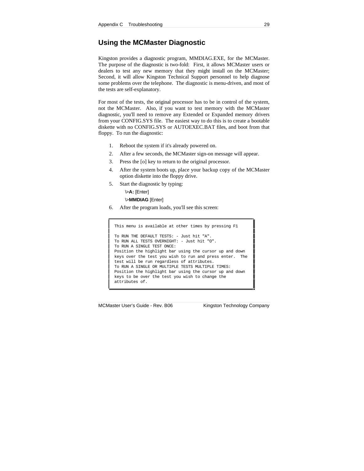## **Using the MCMaster Diagnostic**

Kingston provides a diagnostic program, MMDIAG.EXE, for the MCMaster. The purpose of the diagnostic is two-fold: First, it allows MCMaster users or dealers to test any new memory that they might install on the MCMaster; Second, it will allow Kingston Technical Support personnel to help diagnose some problems over the telephone. The diagnostic is menu-driven, and most of the tests are self-explanatory.

For most of the tests, the original processor has to be in control of the system, not the MCMaster. Also, if you want to test memory with the MCMaster diagnostic, you'll need to remove any Extended or Expanded memory drivers from your CONFIG.SYS file. The easiest way to do this is to create a bootable diskette with no CONFIG.SYS or AUTOEXEC.BAT files, and boot from that floppy. To run the diagnostic:

- 1. Reboot the system if it's already powered on.
- 2. After a few seconds, the MCMaster sign-on message will appear.
- 3. Press the [o] key to return to the original processor.
- 4. After the system boots up, place your backup copy of the MCMaster option diskette into the floppy drive.
- 5. Start the diagnostic by typing:

\>**A:** [Enter] \>**MMDIAG** [Enter]

6. After the program loads, you'll see this screen:

```
This menu is available at other times by pressing F1
To RUN THE DEFAULT TESTS: - Just hit "A".
To RUN ALL TESTS OVERNIGHT: - Just hit "O".
To RUN A SINGLE TEST ONCE:
Position the highlight bar using the cursor up and down
keys over the test you wish to run and press enter. The
test will be run regardless of attributes.
To RUN A SINGLE OR MULTIPLE TESTS MULTIPLE TIMES:
Position the highlight bar using the cursor up and down
keys to be over the test you wish to change the
attributes of.
```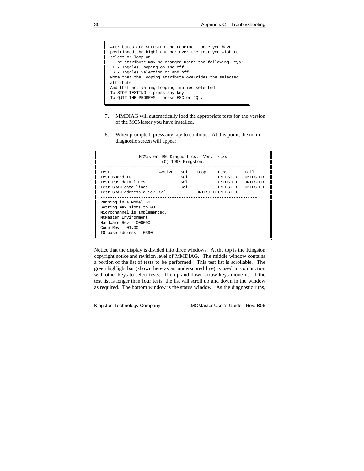| Attributes are SELECTED and LOOPING. Once you have<br>positioned the highlight bar over the test you wish to |
|--------------------------------------------------------------------------------------------------------------|
|                                                                                                              |
| select or loop on                                                                                            |
| The attribute may be changed using the following Keys:                                                       |
| $L$ - Toggles Looping on and off.                                                                            |
| S - Toggles Selection on and off.                                                                            |
| Note that the Looping attribute overrides the selected                                                       |
| attribute                                                                                                    |
| And that activating Looping implies selected                                                                 |
| To STOP TESTING - press any key.                                                                             |
| To OUIT THE PROGRAM - press ESC or "O".                                                                      |
|                                                                                                              |

- 7. MMDIAG will automatically load the appropriate tests for the version of the MCMaster you have installed.
- 8. When prompted, press any key to continue. At this point, the main diagnostic screen will appear:

|                                                                                                                                                                                           | $(C)$ 1993 Kingston. |                   | MCMaster 486 Diagnostics. Ver. x.xx |                                                                      |                                                               |
|-------------------------------------------------------------------------------------------------------------------------------------------------------------------------------------------|----------------------|-------------------|-------------------------------------|----------------------------------------------------------------------|---------------------------------------------------------------|
| Test.<br>Test Board ID<br>Test POS data lines<br>Test SRAM data lines.<br>Test SRAM address quick. Sel                                                                                    | Active               | Sel<br>Sel<br>Sel | Sel Loop                            | Pass<br>INTESTED<br><b>INTESTED</b><br>INTESTED<br>INTESTED INTESTED | Fail<br><b>INTESTED</b><br><b>INTESTED</b><br><b>INTESTED</b> |
| Running in a Model 60.<br>Setting max slots to 08<br>Microchannel is Implemented.<br>MCMaster Environment:<br>Hardware $Rev = 000000$<br>Code Rev = $01.00$<br>$IO$ base address = $0390$ |                      |                   |                                     |                                                                      |                                                               |

Notice that the display is divided into three windows. At the top is the Kingston copyright notice and revision level of MMDIAG. The middle window contains a portion of the list of tests to be performed. This test list is scrollable. The green highlight bar (shown here as an underscored line) is used in conjunction with other keys to select tests. The up and down arrow keys move it. If the test list is longer than four tests, the list will scroll up and down in the window as required. The bottom window is the status window. As the diagnostic runs,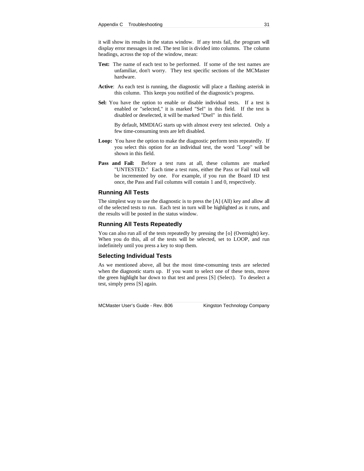it will show its results in the status window. If any tests fail, the program will display error messages in red. The test list is divided into columns. The column headings, across the top of the window, mean:

- **Test:** The name of each test to be performed. If some of the test names are unfamiliar, don't worry. They test specific sections of the MCMaster hardware.
- **Active**: As each test is running, the diagnostic will place a flashing asterisk in this column. This keeps you notified of the diagnostic's progress.
- Sel: You have the option to enable or disable individual tests. If a test is enabled or "selected," it is marked "Sel" in this field. If the test is disabled or deselected, it will be marked "Dsel" in this field.

By default, MMDIAG starts up with almost every test selected. Only a few time-consuming tests are left disabled.

- **Loop:** You have the option to make the diagnostic perform tests repeatedly. If you select this option for an individual test, the word "Loop" will be shown in this field.
- Pass and Fail: Before a test runs at all, these columns are marked "UNTESTED." Each time a test runs, either the Pass or Fail total will be incremented by one. For example, if you run the Board ID test once, the Pass and Fail columns will contain 1 and 0, respectively.

#### **Running All Tests**

The simplest way to use the diagnostic is to press the [A] (All) key and allow all of the selected tests to run. Each test in turn will be highlighted as it runs, and the results will be posted in the status window.

#### **Running All Tests Repeatedly**

You can also run all of the tests repeatedly by pressing the [o] (Overnight) key. When you do this, all of the tests will be selected, set to LOOP, and run indefinitely until you press a key to stop them.

#### **Selecting Individual Tests**

As we mentioned above, all but the most time-consuming tests are selected when the diagnostic starts up. If you want to select one of these tests, move the green highlight bar down to that test and press [S] (Select). To deselect a test, simply press [S] again.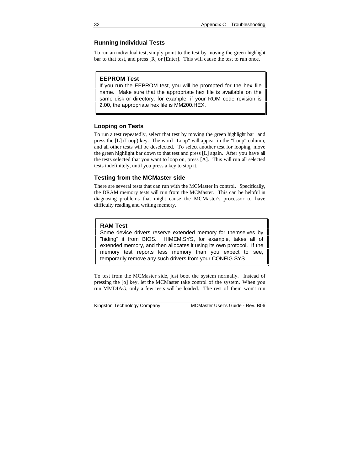### **Running Individual Tests**

To run an individual test, simply point to the test by moving the green highlight bar to that test, and press [R] or [Enter]. This will cause the test to run once.

#### **EEPROM Test**

If you run the EEPROM test, you will be prompted for the hex file name. Make sure that the appropriate hex file is available on the same disk or directory: for example, if your ROM code revision is 2.00, the appropriate hex file is MM200.HEX.

#### **Looping on Tests**

To run a test repeatedly, select that test by moving the green highlight bar and press the [L] (Loop) key. The word "Loop" will appear in the "Loop" column, and all other tests will be deselected. To select another test for looping, move the green highlight bar down to that test and press [L] again. After you have all the tests selected that you want to loop on, press [A]. This will run all selected tests indefinitely, until you press a key to stop it.

#### **Testing from the MCMaster side**

There are several tests that can run with the MCMaster in control. Specifically, the DRAM memory tests will run from the MCMaster. This can be helpful in diagnosing problems that might cause the MCMaster's processor to have difficulty reading and writing memory.

#### **RAM Test**

Some device drivers reserve extended memory for themselves by "hiding" it from BIOS. HIMEM.SYS, for example, takes all of extended memory, and then allocates it using its own protocol. If the memory test reports less memory than you expect to see, temporarily remove any such drivers from your CONFIG.SYS.

To test from the MCMaster side, just boot the system normally. Instead of pressing the [o] key, let the MCMaster take control of the system. When you run MMDIAG, only a few tests will be loaded. The rest of them won't run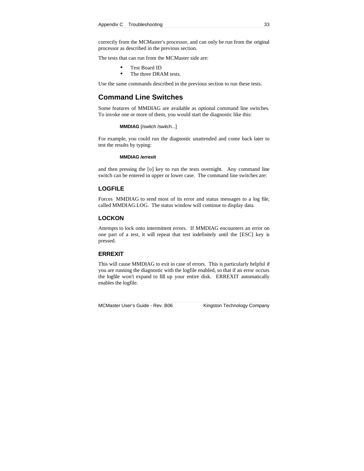correctly from the MCMaster's processor, and can only be run from the original processor as described in the previous section.

The tests that can run from the MCMaster side are:

- Test Board ID
- The three DRAM tests.

Use the same commands described in the previous section to run these tests.

## **Command Line Switches**

Some features of MMDIAG are available as optional command line switches. To invoke one or more of them, you would start the diagnostic like this:

#### **MMDIAG** [/switch /switch...]

For example, you could run the diagnostic unattended and come back later to test the results by typing:

#### **MMDIAG /errexit**

and then pressing the [o] key to run the tests overnight. Any command line switch can be entered in upper or lower case. The command line switches are:

#### **LOGFILE**

Forces MMDIAG to send most of its error and status messages to a log file, called MMDIAG.LOG. The status window will continue to display data.

#### **LOCKON**

Attempts to lock onto intermittent errors. If MMDIAG encounters an error on one part of a test, it will repeat that test indefinitely until the [ESC] key is pressed.

#### **ERREXIT**

This will cause MMDIAG to exit in case of errors. This is particularly helpful if you are running the diagnostic with the logfile enabled, so that if an error occurs the logfile won't expand to fill up your entire disk. ERREXIT automatically enables the logfile.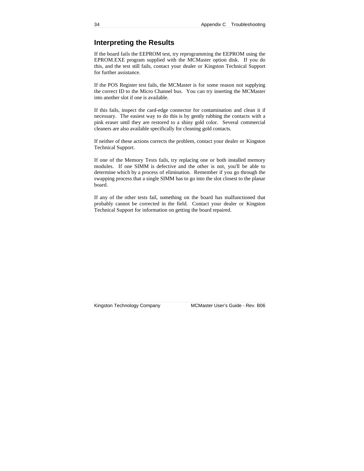## **Interpreting the Results**

If the board fails the EEPROM test, try reprogramming the EEPROM using the EPROM.EXE program supplied with the MCMaster option disk. If you do this, and the test still fails, contact your dealer or Kingston Technical Support for further assistance.

If the POS Register test fails, the MCMaster is for some reason not supplying the correct ID to the Micro Channel bus. You can try inserting the MCMaster into another slot if one is available.

If this fails, inspect the card-edge connector for contamination and clean it if necessary. The easiest way to do this is by gently rubbing the contacts with a pink eraser until they are restored to a shiny gold color. Several commercial cleaners are also available specifically for cleaning gold contacts.

If neither of these actions corrects the problem, contact your dealer or Kingston Technical Support.

If one of the Memory Tests fails, try replacing one or both installed memory modules. If one SIMM is defective and the other is not, you'll be able to determine which by a process of elimination. Remember if you go through the swapping process that a single SIMM has to go into the slot closest to the planar board.

If any of the other tests fail, something on the board has malfunctioned that probably cannot be corrected in the field. Contact your dealer or Kingston Technical Support for information on getting the board repaired.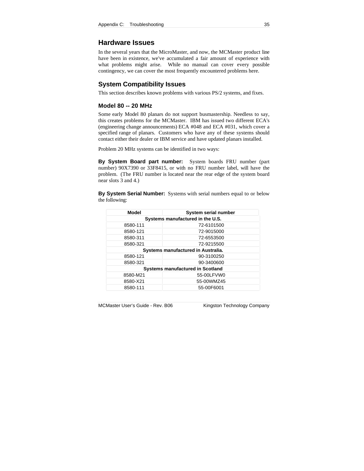### **Hardware Issues**

In the several years that the MicroMaster, and now, the MCMaster product line have been in existence, we've accumulated a fair amount of experience with what problems might arise. While no manual can cover every possible contingency, we can cover the most frequently encountered problems here.

#### **System Compatibility Issues**

This section describes known problems with various PS/2 systems, and fixes.

#### **Model 80 -- 20 MHz**

Some early Model 80 planars do not support busmastership. Needless to say, this creates problems for the MCMaster. IBM has issued two different ECA's (engineering change announcements) ECA #048 and ECA #031, which cover a specified range of planars. Customers who have any of these systems should contact either their dealer or IBM service and have updated planars installed.

Problem 20 MHz systems can be identified in two ways:

**By System Board part number:** System boards FRU number (part number) 90X7390 or 33F8415, or with no FRU number label, will have the problem. (The FRU number is located near the rear edge of the system board near slots 3 and 4.)

**By System Serial Number:** Systems with serial numbers equal to or below the following:

| <b>Model</b>                            | <b>System serial number</b> |  |  |  |
|-----------------------------------------|-----------------------------|--|--|--|
| Systems manufactured in the U.S.        |                             |  |  |  |
| 8580-111                                | 72-6101500                  |  |  |  |
| 8580-121                                | 72-9015000                  |  |  |  |
| 8580-311                                | 72-6553500                  |  |  |  |
| 8580-321                                | 72-9215500                  |  |  |  |
| Systems manufactured in Australia.      |                             |  |  |  |
| 8580-121                                | 90-3100250                  |  |  |  |
| 8580-321                                | 90-3400600                  |  |  |  |
| <b>Systems manufactured in Scotland</b> |                             |  |  |  |
| 8580-M21                                | 55-00LFVW0                  |  |  |  |
| 8580-X21                                | 55-00WMZ45                  |  |  |  |
| 8580-111                                | 55-00F6001                  |  |  |  |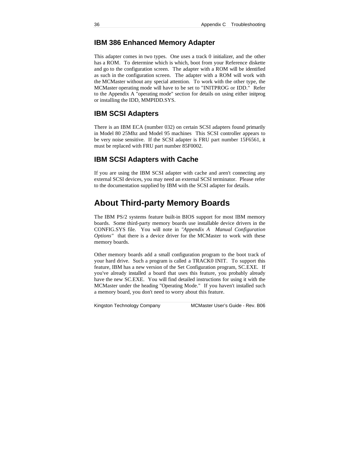## **IBM 386 Enhanced Memory Adapter**

This adapter comes in two types. One uses a track 0 initializer, and the other has a ROM. To determine which is which, boot from your Reference diskette and go to the configuration screen. The adapter with a ROM will be identified as such in the configuration screen. The adapter with a ROM will work with the MCMaster without any special attention. To work with the other type, the MCMaster operating mode will have to be set to "INITPROG or IDD." Refer to the Appendix A "operating mode" section for details on using either initprog or installing the IDD, MMPIDD.SYS.

### **IBM SCSI Adapters**

There is an IBM ECA (number 032) on certain SCSI adapters found primarily in Model 80 25Mhz and Model 95 machines This SCSI controller appears to be very noise sensitive. If the SCSI adapter is FRU part number 15F6561, it must be replaced with FRU part number 85F0002.

## **IBM SCSI Adapters with Cache**

If you are using the IBM SCSI adapter with cache and aren't connecting any external SCSI devices, you may need an external SCSI terminator. Please refer to the documentation supplied by IBM with the SCSI adapter for details.

## **About Third-party Memory Boards**

The IBM PS/2 systems feature built-in BIOS support for most IBM memory boards. Some third-party memory boards use installable device drivers in the CONFIG.SYS file. You will note in *"Appendix A Manual Configuration Options"* that there is a device driver for the MCMaster to work with these memory boards.

Other memory boards add a small configuration program to the boot track of your hard drive. Such a program is called a TRACK0 INIT. To support this feature, IBM has a new version of the Set Configuration program, SC.EXE. If you've already installed a board that uses this feature, you probably already have the new SC.EXE. You will find detailed instructions for using it with the MCMaster under the heading "Operating Mode." If you haven't installed such a memory board, you don't need to worry about this feature.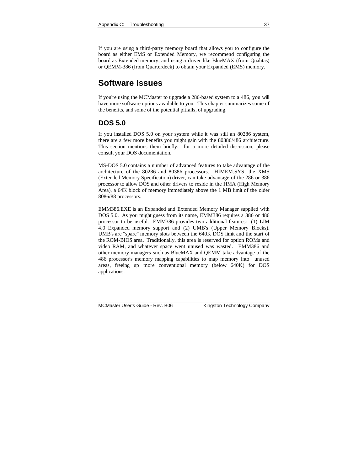If you are using a third-party memory board that allows you to configure the board as either EMS or Extended Memory, we recommend configuring the board as Extended memory, and using a driver like BlueMAX (from Qualitas) or QEMM-386 (from Quarterdeck) to obtain your Expanded (EMS) memory.

## **Software Issues**

If you're using the MCMaster to upgrade a 286-based system to a 486, you will have more software options available to you. This chapter summarizes some of the benefits, and some of the potential pitfalls, of upgrading.

### **DOS 5.0**

If you installed DOS 5.0 on your system while it was still an 80286 system, there are a few more benefits you might gain with the 80386/486 architecture. This section mentions them briefly: for a more detailed discussion, please consult your DOS documentation.

MS-DOS 5.0 contains a number of advanced features to take advantage of the architecture of the 80286 and 80386 processors. HIMEM.SYS, the XMS (Extended Memory Specification) driver, can take advantage of the 286 or 386 processor to allow DOS and other drivers to reside in the HMA (High Memory Area), a 64K block of memory immediately above the 1 MB limit of the older 8086/88 processors.

EMM386.EXE is an Expanded and Extended Memory Manager supplied with DOS 5.0. As you might guess from its name, EMM386 requires a 386 or 486 processor to be useful. EMM386 provides two additional features: (1) LIM 4.0 Expanded memory support and (2) UMB's (Upper Memory Blocks). UMB's are "spare" memory slots between the 640K DOS limit and the start of the ROM-BIOS area. Traditionally, this area is reserved for option ROMs and video RAM, and whatever space went unused was wasted. EMM386 and other memory managers such as BlueMAX and QEMM take advantage of the 486 processor's memory mapping capabilities to map memory into unused areas, freeing up more conventional memory (below 640K) for DOS applications.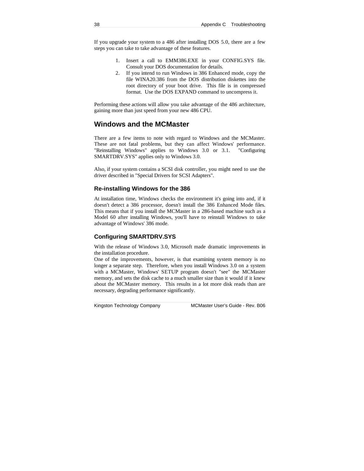If you upgrade your system to a 486 after installing DOS 5.0, there are a few steps you can take to take advantage of these features.

- 1. Insert a call to EMM386.EXE in your CONFIG.SYS file. Consult your DOS documentation for details.
- 2. If you intend to run Windows in 386 Enhanced mode, copy the file WINA20.386 from the DOS distribution diskettes into the root directory of your boot drive. This file is in compressed format. Use the DOS EXPAND command to uncompress it.

Performing these actions will allow you take advantage of the 486 architecture, gaining more than just speed from your new 486 CPU.

## **Windows and the MCMaster**

There are a few items to note with regard to Windows and the MCMaster. These are not fatal problems, but they can affect Windows' performance. "Reinstalling Windows" applies to Windows 3.0 or 3.1. "Configuring SMARTDRV.SYS" applies only to Windows 3.0.

Also, if your system contains a SCSI disk controller, you might need to use the driver described in "Special Drivers for SCSI Adapters".

#### **Re-installing Windows for the 386**

At installation time, Windows checks the environment it's going into and, if it doesn't detect a 386 processor, doesn't install the 386 Enhanced Mode files. This means that if you install the MCMaster in a 286-based machine such as a Model 60 after installing Windows, you'll have to reinstall Windows to take advantage of Windows' 386 mode.

#### **Configuring SMARTDRV.SYS**

With the release of Windows 3.0, Microsoft made dramatic improvements in the installation procedure.

One of the improvements, however, is that examining system memory is no longer a separate step. Therefore, when you install Windows 3.0 on a system with a MCMaster, Windows' SETUP program doesn't "see" the MCMaster memory, and sets the disk cache to a much smaller size than it would if it knew about the MCMaster memory. This results in a lot more disk reads than are necessary, degrading performance significantly.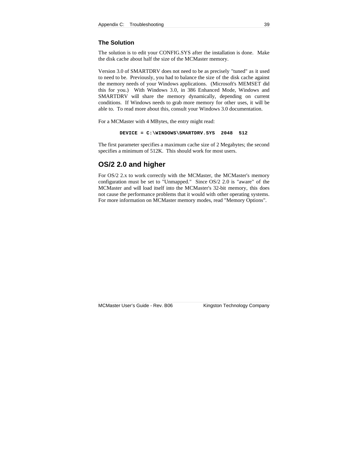#### **The Solution**

The solution is to edit your CONFIG.SYS after the installation is done. Make the disk cache about half the size of the MCMaster memory.

Version 3.0 of SMARTDRV does not need to be as precisely "tuned" as it used to need to be. Previously, you had to balance the size of the disk cache against the memory needs of your Windows applications. (Microsoft's MEMSET did this for you.) With Windows 3.0, in 386 Enhanced Mode, Windows and SMARTDRV will share the memory dynamically, depending on current conditions. If Windows needs to grab more memory for other uses, it will be able to. To read more about this, consult your Windows 3.0 documentation.

For a MCMaster with 4 MBytes, the entry might read:

```
DEVICE = C:\WINDOWS\SMARTDRV.SYS 2048 512
```
The first parameter specifies a maximum cache size of 2 Megabytes; the second specifies a minimum of 512K. This should work for most users.

### **OS/2 2.0 and higher**

For OS/2 2.x to work correctly with the MCMaster, the MCMaster's memory configuration must be set to "Unmapped." Since OS/2 2.0 is "aware" of the MCMaster and will load itself into the MCMaster's 32-bit memory, this does not cause the performance problems that it would with other operating systems. For more information on MCMaster memory modes, read "Memory Options".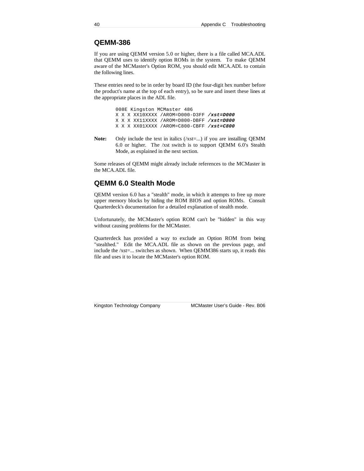## **QEMM-386**

If you are using QEMM version 5.0 or higher, there is a file called MCA.ADL that QEMM uses to identify option ROMs in the system. To make QEMM aware of the MCMaster's Option ROM, you should edit MCA.ADL to contain the following lines.

These entries need to be in order by board ID (the four-digit hex number before the product's name at the top of each entry), so be sure and insert these lines at the appropriate places in the ADL file.

> 008E Kingston MCMaster 486 X X X XX10XXXX /AROM=D000-D3FF **/xst=D000** X X X XX11XXXX /AROM=D800-DBFF **/xst=D800** X X X XX01XXXX /AROM=C800-CBFF **/xst=C800**

Note: Only include the text in italics (/xst=...) if you are installing QEMM 6.0 or higher. The /xst switch is to support QEMM 6.0's Stealth Mode, as explained in the next section.

Some releases of QEMM might already include references to the MCMaster in the MCA.ADL file.

## **QEMM 6.0 Stealth Mode**

QEMM version 6.0 has a "stealth" mode, in which it attempts to free up more upper memory blocks by hiding the ROM BIOS and option ROMs. Consult Quarterdeck's documentation for a detailed explanation of stealth mode.

Unfortunately, the MCMaster's option ROM can't be "hidden" in this way without causing problems for the MCMaster.

Quarterdeck has provided a way to exclude an Option ROM from being "stealthed." Edit the MCA.ADL file as shown on the previous page, and include the /xst=... switches as shown. When QEMM386 starts up, it reads this file and uses it to locate the MCMaster's option ROM.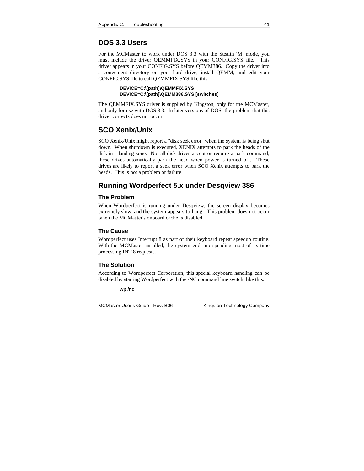## **DOS 3.3 Users**

For the MCMaster to work under DOS 3.3 with the Stealth 'M' mode, you must include the driver QEMMFIX.SYS in your CONFIG.SYS file. This driver appears in your CONFIG.SYS before QEMM386. Copy the driver into a convenient directory on your hard drive, install QEMM, and edit your CONFIG.SYS file to call QEMMFIX.SYS like this:

#### **DEVICE=C:\[path]\QEMMFIX.SYS DEVICE=C:\[path]\QEMM386.SYS [switches]**

The QEMMFIX.SYS driver is supplied by Kingston, only for the MCMaster, and only for use with DOS 3.3. In later versions of DOS, the problem that this driver corrects does not occur.

## **SCO Xenix/Unix**

SCO Xenix/Unix might report a "disk seek error" when the system is being shut down. When shutdown is executed, XENIX attempts to park the heads of the disk in a landing zone. Not all disk drives accept or require a park command; these drives automatically park the head when power is turned off. These drives are likely to report a seek error when SCO Xenix attempts to park the heads. This is not a problem or failure.

## **Running Wordperfect 5.x under Desqview 386**

#### **The Problem**

When Wordperfect is running under Desqview, the screen display becomes extremely slow, and the system appears to hang. This problem does not occur when the MCMaster's onboard cache is disabled.

#### **The Cause**

Wordperfect uses Interrupt 8 as part of their keyboard repeat speedup routine. With the MCMaster installed, the system ends up spending most of its time processing INT 8 requests.

#### **The Solution**

According to Wordperfect Corporation, this special keyboard handling can be disabled by starting Wordperfect with the /NC command line switch, like this:

**wp /nc**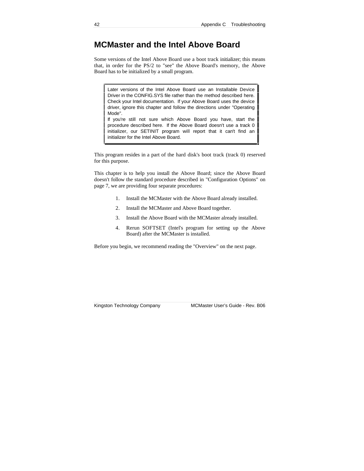## **MCMaster and the Intel Above Board**

Some versions of the Intel Above Board use a boot track initializer; this means that, in order for the PS/2 to "see" the Above Board's memory, the Above Board has to be initialized by a small program.

Later versions of the Intel Above Board use an Installable Device Driver in the CONFIG.SYS file rather than the method described here. Check your Intel documentation. If your Above Board uses the device driver, ignore this chapter and follow the directions under "Operating Mode".

If you're still not sure which Above Board you have, start the procedure described here. If the Above Board doesn't use a track 0 initializer, our SETINIT program will report that it can't find an initializer for the Intel Above Board.

This program resides in a part of the hard disk's boot track (track 0) reserved for this purpose.

This chapter is to help you install the Above Board; since the Above Board doesn't follow the standard procedure described in "Configuration Options" on page 7, we are providing four separate procedures:

- 1. Install the MCMaster with the Above Board already installed.
- 2. Install the MCMaster and Above Board together.
- 3. Install the Above Board with the MCMaster already installed.
- 4. Rerun SOFTSET (Intel's program for setting up the Above Board) after the MCMaster is installed.

Before you begin, we recommend reading the "Overview" on the next page.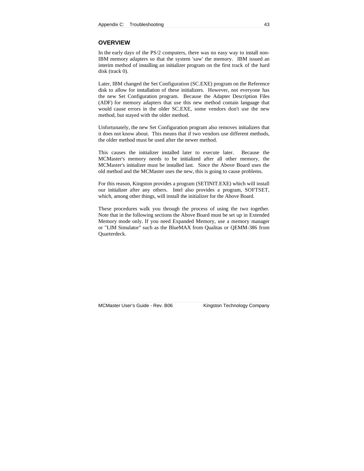#### **OVERVIEW**

In the early days of the PS/2 computers, there was no easy way to install non-IBM memory adapters so that the system 'saw' the memory. IBM issued an interim method of installing an initializer program on the first track of the hard disk (track 0).

Later, IBM changed the Set Configuration (SC.EXE) program on the Reference disk to allow for installation of these initializers. However, not everyone has the new Set Configuration program. Because the Adapter Description Files (ADF) for memory adapters that use this new method contain language that would cause errors in the older SC.EXE, some vendors don't use the new method, but stayed with the older method.

Unfortunately, the new Set Configuration program also removes initializers that it does not know about. This means that if two vendors use different methods, the older method must be used after the newer method.

This causes the initializer installed later to execute later. Because the MCMaster's memory needs to be initialized after all other memory, the MCMaster's initializer must be installed last. Since the Above Board uses the old method and the MCMaster uses the new, this is going to cause problems.

For this reason, Kingston provides a program (SETINIT.EXE) which will install our initializer after any others. Intel also provides a program, SOFTSET, which, among other things, will install the initializer for the Above Board.

These procedures walk you through the process of using the two together. Note that in the following sections the Above Board must be set up in Extended Memory mode only. If you need Expanded Memory, use a memory manager or "LIM Simulator" such as the BlueMAX from Qualitas or QEMM-386 from Quarterdeck.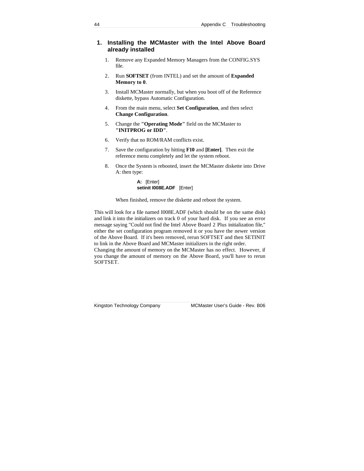### **1. Installing the MCMaster with the Intel Above Board already installed**

- 1. Remove any Expanded Memory Managers from the CONFIG.SYS file.
- 2. Run **SOFTSET** (from INTEL) and set the amount of **Expanded Memory to 0**.
- 3. Install MCMaster normally, but when you boot off of the Reference diskette, bypass Automatic Configuration.
- 4. From the main menu, select **Set Configuration**, and then select **Change Configuration**.
- 5. Change the **"Operating Mode"** field on the MCMaster to **"INITPROG or IDD"**.
- 6. Verify that no ROM/RAM conflicts exist.
- 7. Save the configuration by hitting **F10** and **[Enter]**. Then exit the reference menu completely and let the system reboot.
- 8. Once the System is rebooted, insert the MCMaster diskette into Drive A: then type:

**A:** [Enter] **setinit I008E.ADF** [Enter]

When finished, remove the diskette and reboot the system.

This will look for a file named I008E.ADF (which should be on the same disk) and link it into the initializers on track 0 of your hard disk. If you see an error message saying "Could not find the Intel Above Board 2 Plus initialization file," either the set configuration program removed it or you have the newer version of the Above Board. If it's been removed, rerun SOFTSET and then SETINIT to link in the Above Board and MCMaster initializers in the right order. Changing the amount of memory on the MCMaster has no effect. However, if you change the amount of memory on the Above Board, you'll have to rerun

SOFTSET.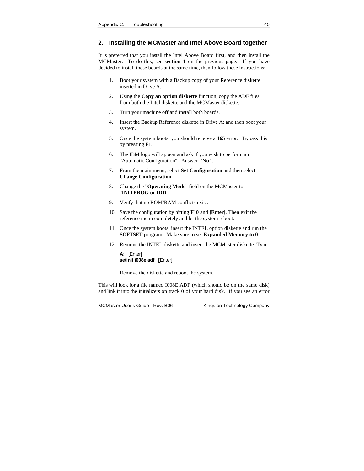### **2. Installing the MCMaster and Intel Above Board together**

It is preferred that you install the Intel Above Board first, and then install the MCMaster. To do this, see **section 1** on the previous page. If you have decided to install these boards at the same time, then follow these instructions:

- 1. Boot your system with a Backup copy of your Reference diskette inserted in Drive A:
- 2. Using the **Copy an option diskette** function, copy the ADF files from both the Intel diskette and the MCMaster diskette.
- 3. Turn your machine off and install both boards.
- 4. Insert the Backup Reference diskette in Drive A: and then boot your system.
- 5. Once the system boots, you should receive a **165** error. Bypass this by pressing F1.
- 6. The IBM logo will appear and ask if you wish to perform an "Automatic Configuration". Answer "**No"**.
- 7. From the main menu, select **Set Configuration** and then select **Change Configuration**.
- 8. Change the "**Operating Mode**" field on the MCMaster to "**INITPROG or IDD**".
- 9. Verify that no ROM/RAM conflicts exist.
- 10. Save the configuration by hitting **F10** and **[Enter]**. Then exit the reference menu completely and let the system reboot.
- 11. Once the system boots, insert the INTEL option diskette and run the **SOFTSET** program. Make sure to set **Expanded Memory to 0**.
- 12. Remove the INTEL diskette and insert the MCMaster diskette. Type:

**A:** [Enter] **setinit i008e.adf [**Enter]

Remove the diskette and reboot the system.

This will look for a file named I008E.ADF (which should be on the same disk) and link it into the initializers on track 0 of your hard disk. If you see an error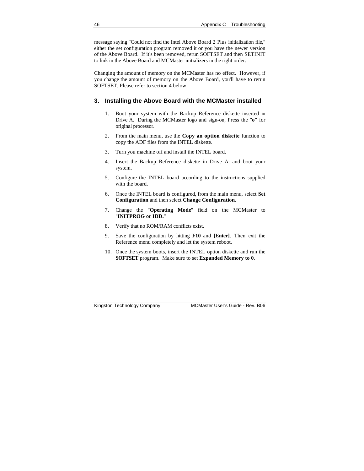message saying "Could not find the Intel Above Board 2 Plus initialization file," either the set configuration program removed it or you have the newer version of the Above Board. If it's been removed, rerun SOFTSET and then SETINIT to link in the Above Board and MCMaster initializers in the right order.

Changing the amount of memory on the MCMaster has no effect. However, if you change the amount of memory on the Above Board, you'll have to rerun SOFTSET. Please refer to section 4 below.

#### **3. Installing the Above Board with the MCMaster installed**

- 1. Boot your system with the Backup Reference diskette inserted in Drive A. During the MCMaster logo and sign-on, Press the "**o**" for original processor.
- 2. From the main menu, use the **Copy an option diskette** function to copy the ADF files from the INTEL diskette.
- 3. Turn you machine off and install the INTEL board.
- 4. Insert the Backup Reference diskette in Drive A: and boot your system.
- 5. Configure the INTEL board according to the instructions supplied with the board.
- 6. Once the INTEL board is configured, from the main menu, select **Set Configuration** and then select **Change Configuration**.
- 7. Change the "**Operating Mode**" field on the MCMaster to "**INITPROG or IDD.**"
- 8. Verify that no ROM/RAM conflicts exist.
- 9. Save the configuration by hitting **F10** and **[Enter]**. Then exit the Reference menu completely and let the system reboot.
- 10. Once the system boots, insert the INTEL option diskette and run the **SOFTSET** program. Make sure to set **Expanded Memory to 0**.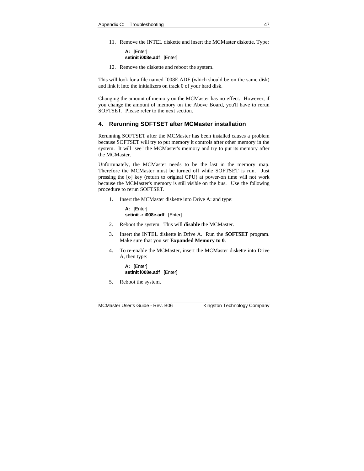11. Remove the INTEL diskette and insert the MCMaster diskette. Type:

**A:** [Enter] **setinit i008e.adf** [Enter]

12. Remove the diskette and reboot the system.

This will look for a file named I008E.ADF (which should be on the same disk) and link it into the initializers on track 0 of your hard disk.

Changing the amount of memory on the MCMaster has no effect. However, if you change the amount of memory on the Above Board, you'll have to rerun SOFTSET. Please refer to the next section.

#### **4. Rerunning SOFTSET after MCMaster installation**

Rerunning SOFTSET after the MCMaster has been installed causes a problem because SOFTSET will try to put memory it controls after other memory in the system. It will "see" the MCMaster's memory and try to put its memory after the MCMaster.

Unfortunately, the MCMaster needs to be the last in the memory map. Therefore the MCMaster must be turned off while SOFTSET is run. Just pressing the [o] key (return to original CPU) at power-on time will not work because the MCMaster's memory is still visible on the bus. Use the following procedure to rerun SOFTSET.

1. Insert the MCMaster diskette into Drive A: and type:

**A:** [Enter] **setinit -r i008e.adf** [Enter]

- 2. Reboot the system. This will **disable** the MCMaster.
- 3. Insert the INTEL diskette in Drive A. Run the **SOFTSET** program. Make sure that you set **Expanded Memory to 0**.
- 4. To re-enable the MCMaster, insert the MCMaster diskette into Drive A, then type:

**A:** [Enter] **setinit i008e.adf** [Enter]

5. Reboot the system.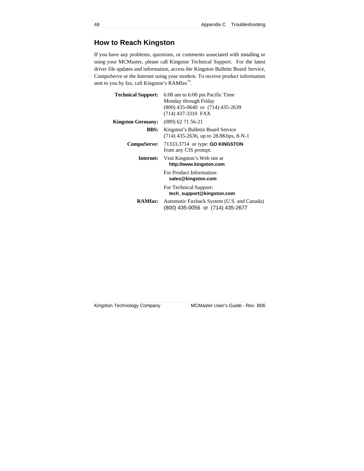## **How to Reach Kingston**

If you have any problems, questions, or comments associated with installing or using your MCMaster, please call Kingston Technical Support. For the latest driver file updates and information, access the Kingston Bulletin Board Service, CompuServe or the Internet using your modem. To receive product information sent to you by fax, call Kingston's RAMfax<sup>™</sup>.

| <b>Technical Support:</b>                  | 6:00 am to 6:00 pm Pacific Time<br>Monday through Friday<br>$(800)$ 435-0640 or $(714)$ 435-2639<br>(714) 437-3310 FAX |
|--------------------------------------------|------------------------------------------------------------------------------------------------------------------------|
| <b>Kingston Germany:</b> (089) 62 71 56-21 |                                                                                                                        |
| <b>BBS:</b>                                | Kingston's Bulletin Board Service<br>$(714)$ 435-2636, up to 28.8Kbps, 8-N-1                                           |
|                                            | <b>CompuServe:</b> 71333,3714 or type: <b>GO KINGSTON</b><br>from any CIS prompt.                                      |
| Internet:                                  | Visit Kingston's Web site at<br>http://www.kingston.com                                                                |
|                                            | For Product Information:<br>sales@kingston.com                                                                         |
|                                            | For Technical Support:<br>tech_support@kingston.com                                                                    |
| <b>RAMfax:</b>                             | Automatic Faxback System (U.S. and Canada)<br>(800) 435-0056 or (714) 435-2677                                         |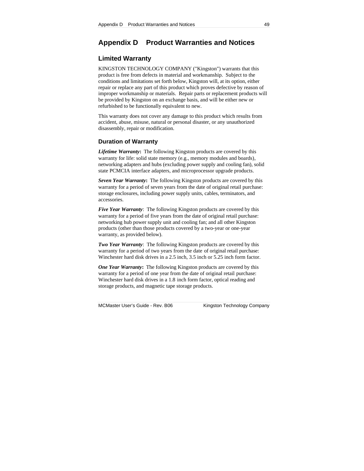## **Appendix D Product Warranties and Notices**

## **Limited Warranty**

KINGSTON TECHNOLOGY COMPANY ("Kingston") warrants that this product is free from defects in material and workmanship. Subject to the conditions and limitations set forth below, Kingston will, at its option, either repair or replace any part of this product which proves defective by reason of improper workmanship or materials. Repair parts or replacement products will be provided by Kingston on an exchange basis, and will be either new or refurbished to be functionally equivalent to new.

This warranty does not cover any damage to this product which results from accident, abuse, misuse, natural or personal disaster, or any unauthorized disassembly, repair or modification.

#### **Duration of Warranty**

*Lifetime Warranty***:** The following Kingston products are covered by this warranty for life: solid state memory (e.g., memory modules and boards), networking adapters and hubs (excluding power supply and cooling fan), solid state PCMCIA interface adapters, and microprocessor upgrade products.

*Seven Year Warranty***:** The following Kingston products are covered by this warranty for a period of seven years from the date of original retail purchase: storage enclosures, including power supply units, cables, terminators, and accessories.

*Five Year Warranty*: The following Kingston products are covered by this warranty for a period of five years from the date of original retail purchase: networking hub power supply unit and cooling fan; and all other Kingston products (other than those products covered by a two-year or one-year warranty, as provided below).

*Two Year Warranty*: The following Kingston products are covered by this warranty for a period of two years from the date of original retail purchase: Winchester hard disk drives in a 2.5 inch, 3.5 inch or 5.25 inch form factor.

*One Year Warranty***:** The following Kingston products are covered by this warranty for a period of one year from the date of original retail purchase: Winchester hard disk drives in a 1.8 inch form factor, optical reading and storage products, and magnetic tape storage products.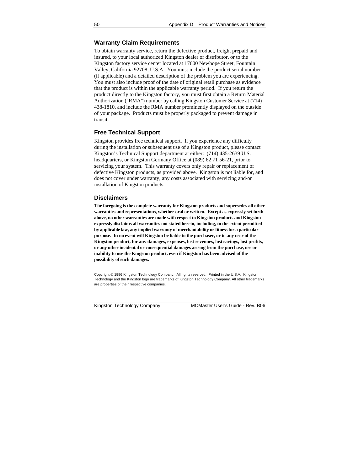#### **Warranty Claim Requirements**

To obtain warranty service, return the defective product, freight prepaid and insured, to your local authorized Kingston dealer or distributor, or to the Kingston factory service center located at 17600 Newhope Street, Fountain Valley, California 92708, U.S.A. You must include the product serial number (if applicable) and a detailed description of the problem you are experiencing. You must also include proof of the date of original retail purchase as evidence that the product is within the applicable warranty period. If you return the product directly to the Kingston factory, you must first obtain a Return Material Authorization ("RMA") number by calling Kingston Customer Service at (714) 438-1810, and include the RMA number prominently displayed on the outside of your package. Products must be properly packaged to prevent damage in transit.

#### **Free Technical Support**

Kingston provides free technical support. If you experience any difficulty during the installation or subsequent use of a Kingston product, please contact Kingston's Technical Support department at either: (714) 435-2639 U.S. headquarters, or Kingston Germany Office at (089) 62 71 56-21, prior to servicing your system. This warranty covers only repair or replacement of defective Kingston products, as provided above. Kingston is not liable for, and does not cover under warranty, any costs associated with servicing and/or installation of Kingston products.

#### **Disclaimers**

**The foregoing is the complete warranty for Kingston products and supersedes all other warranties and representations, whether oral or written. Except as expressly set forth above, no other warranties are made with respect to Kingston products and Kingston expressly disclaims all warranties not stated herein, including, to the extent permitted by applicable law, any implied warranty of merchantability or fitness for a particular purpose. In no event will Kingston be liable to the purchaser, or to any user of the Kingston product, for any damages, expenses, lost revenues, lost savings, lost profits, or any other incidental or consequential damages arising from the purchase, use or inability to use the Kingston product, even if Kingston has been advised of the possibility of such damages.**

Copyright © 1996 Kingston Technology Company. All rights reserved. Printed in the U.S.A. Kingston Technology and the Kingston logo are trademarks of Kingston Technology Company. All other trademarks are properties of their respective companies.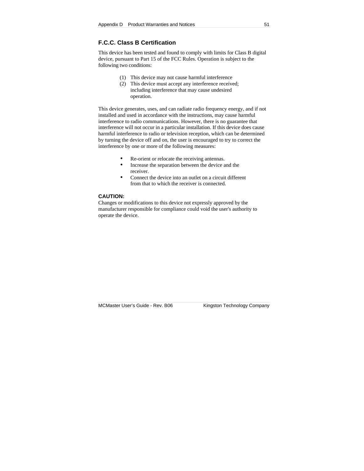## **F.C.C. Class B Certification**

This device has been tested and found to comply with limits for Class B digital device, pursuant to Part 15 of the FCC Rules. Operation is subject to the following two conditions:

- (1) This device may not cause harmful interference
- (2) This device must accept any interference received; including interference that may cause undesired operation.

This device generates, uses, and can radiate radio frequency energy, and if not installed and used in accordance with the instructions, may cause harmful interference to radio communications. However, there is no guarantee that interference will not occur in a particular installation. If this device does cause harmful interference to radio or television reception, which can be determined by turning the device off and on, the user is encouraged to try to correct the interference by one or more of the following measures:

- Re-orient or relocate the receiving antennas.
- Increase the separation between the device and the receiver.
- Connect the device into an outlet on a circuit different from that to which the receiver is connected.

#### **CAUTION:**

Changes or modifications to this device not expressly approved by the manufacturer responsible for compliance could void the user's authority to operate the device.